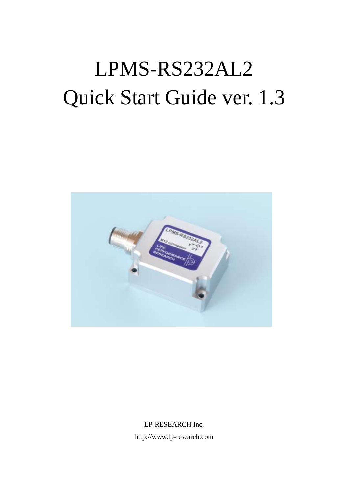# LPMS-RS232AL2 Quick Start Guide ver. 1.3



LP-RESEARCH Inc. http://www.lp-research.com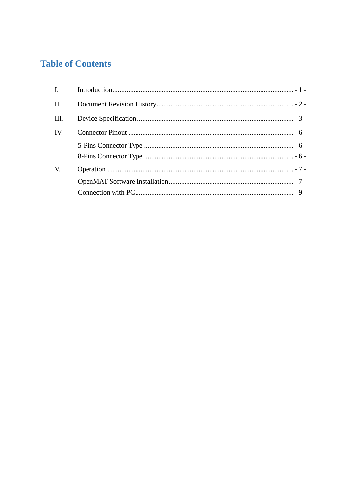# **Table of Contents**

| II.  |  |
|------|--|
| III. |  |
| IV.  |  |
|      |  |
|      |  |
| V.   |  |
|      |  |
|      |  |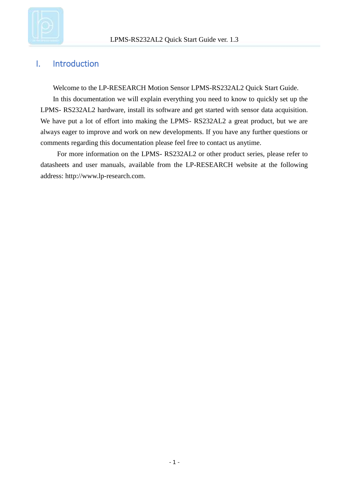

## <span id="page-2-0"></span>I. Introduction

Welcome to the LP-RESEARCH Motion Sensor LPMS-RS232AL2 Quick Start Guide.

In this documentation we will explain everything you need to know to quickly set up the LPMS- RS232AL2 hardware, install its software and get started with sensor data acquisition. We have put a lot of effort into making the LPMS- RS232AL2 a great product, but we are always eager to improve and work on new developments. If you have any further questions or comments regarding this documentation please feel free to contact us anytime.

For more information on the LPMS- RS232AL2 or other product series, please refer to datasheets and user manuals, available from the LP-RESEARCH website at the following address: http://www.lp-research.com.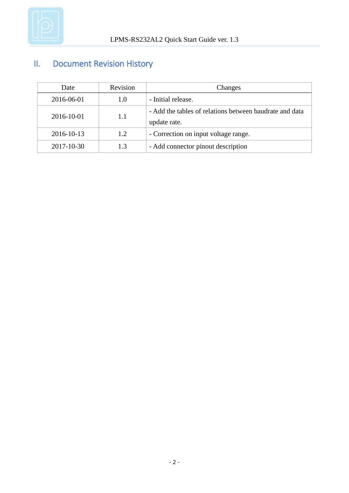

# <span id="page-3-0"></span>II. Document Revision History

|            | Date       | Revision | Changes                                                                 |
|------------|------------|----------|-------------------------------------------------------------------------|
|            | 2016-06-01 | 1.0      | - Initial release.                                                      |
|            | 2016-10-01 | 1.1      | - Add the tables of relations between baudrate and data<br>update rate. |
|            | 2016-10-13 | 1.2      | - Correction on input voltage range.                                    |
| 2017-10-30 |            | 1.3      | - Add connector pinout description                                      |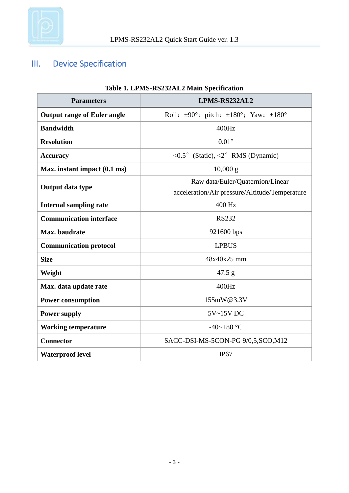

# <span id="page-4-0"></span>III. Device Specification

| Table 1. LPMS-KSZSZALZ Main Specification |                                                                      |  |  |
|-------------------------------------------|----------------------------------------------------------------------|--|--|
| <b>Parameters</b>                         | LPMS-RS232AL2                                                        |  |  |
| <b>Output range of Euler angle</b>        | Roll: $\pm 90^\circ$ ; pitch: $\pm 180^\circ$ ; Yaw: $\pm 180^\circ$ |  |  |
| <b>Bandwidth</b>                          | 400Hz                                                                |  |  |
| <b>Resolution</b>                         | $0.01\degree$                                                        |  |  |
| <b>Accuracy</b>                           | <0.5° (Static), <2° RMS (Dynamic)                                    |  |  |
| Max. instant impact (0.1 ms)              | $10,000 \text{ g}$                                                   |  |  |
|                                           | Raw data/Euler/Quaternion/Linear                                     |  |  |
| Output data type                          | acceleration/Air pressure/Altitude/Temperature                       |  |  |
| <b>Internal sampling rate</b>             | 400 Hz                                                               |  |  |
| <b>Communication interface</b>            | <b>RS232</b>                                                         |  |  |
| Max. baudrate                             | 921600 bps                                                           |  |  |
| <b>Communication protocol</b>             | <b>LPBUS</b>                                                         |  |  |
| <b>Size</b>                               | 48x40x25 mm                                                          |  |  |
| Weight                                    | 47.5 g                                                               |  |  |
| Max. data update rate                     | 400Hz                                                                |  |  |
| <b>Power consumption</b>                  | 155mW@3.3V                                                           |  |  |
| <b>Power supply</b>                       | 5V~15V DC                                                            |  |  |
| <b>Working temperature</b>                | -40~+80 °C                                                           |  |  |
| <b>Connector</b>                          | SACC-DSI-MS-5CON-PG 9/0,5,SCO,M12                                    |  |  |
| <b>Waterproof level</b>                   | IP67                                                                 |  |  |

#### **Table 1. LPMS-RS232AL2 Main Specification**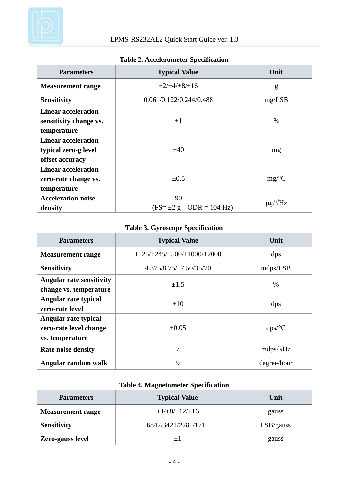

| <b>Parameters</b>          | <b>Typical Value</b>          | Unit                 |  |
|----------------------------|-------------------------------|----------------------|--|
| <b>Measurement range</b>   | $\pm 2/\pm 4/\pm 8/\pm 16$    | g                    |  |
| <b>Sensitivity</b>         | 0.061/0.122/0.244/0.488       | mg/LSB               |  |
| <b>Linear acceleration</b> |                               |                      |  |
| sensitivity change vs.     | $\pm 1$                       | $\%$                 |  |
| temperature                |                               |                      |  |
| <b>Linear acceleration</b> |                               | mg                   |  |
| typical zero-g level       | ±40                           |                      |  |
| offset accuracy            |                               |                      |  |
| <b>Linear acceleration</b> |                               |                      |  |
| zero-rate change vs.       | $\pm 0.5$                     | mg/C                 |  |
| temperature                |                               |                      |  |
| <b>Acceleration noise</b>  | 90                            | $\mu$ g/ $\sqrt{Hz}$ |  |
| density                    | $(FS = \pm 2 g$ ODR = 104 Hz) |                      |  |

#### **Table 2. Accelerometer Specification**

#### **Table 3. Gyroscope Specification**

| <b>Parameters</b>                                                      | <b>Typical Value</b>                                    | Unit             |  |
|------------------------------------------------------------------------|---------------------------------------------------------|------------------|--|
| <b>Measurement range</b>                                               | $\pm$ 125/ $\pm$ 245/ $\pm$ 500/ $\pm$ 1000/ $\pm$ 2000 | dps              |  |
| <b>Sensitivity</b>                                                     | 4.375/8.75/17.50/35/70                                  | mdps/LSB         |  |
| <b>Angular rate sensitivity</b><br>$\pm 1.5$<br>change vs. temperature |                                                         | $\%$             |  |
| Angular rate typical<br>zero-rate level                                | $\pm 10$                                                | dps              |  |
| Angular rate typical<br>zero-rate level change<br>vs. temperature      | $\pm 0.05$                                              | dps/C            |  |
| <b>Rate noise density</b>                                              | 7                                                       | $mdps/\sqrt{Hz}$ |  |
| Angular random walk                                                    | 9                                                       | degree/hour      |  |

## **Table 4. Magnetometer Specification**

| <b>Parameters</b>        | <b>Typical Value</b>        | Unit      |  |
|--------------------------|-----------------------------|-----------|--|
| <b>Measurement range</b> | $\pm 4/\pm 8/\pm 12/\pm 16$ | gauss     |  |
| <b>Sensitivity</b>       | 6842/3421/2281/1711         | LSB/gauss |  |
| Zero-gauss level         | $+1$                        | gauss     |  |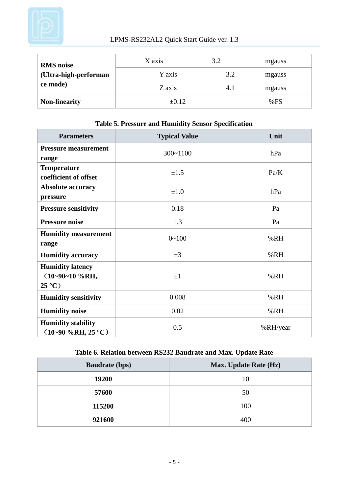

| <b>RMS</b> noise      | X axis     | 3.2 | mgauss |
|-----------------------|------------|-----|--------|
| (Ultra-high-performan | Y axis     | 3.2 | mgauss |
| ce mode)              | Z axis     | 4.1 | mgauss |
| <b>Non-linearity</b>  | $\pm 0.12$ |     | %FS    |

| <b>Parameters</b>                                             | <b>Typical Value</b> | Unit     |
|---------------------------------------------------------------|----------------------|----------|
| <b>Pressure measurement</b>                                   | $300 - 1100$         | hPa      |
| range                                                         |                      |          |
| <b>Temperature</b><br>coefficient of offset                   | $\pm 1.5$            | Pa/K     |
| <b>Absolute accuracy</b><br>pressure                          | $\pm 1.0$            | hPa      |
| <b>Pressure sensitivity</b>                                   | 0.18                 | Pa       |
| <b>Pressure noise</b>                                         | 1.3                  | Pa       |
| <b>Humidity measurement</b><br>range                          | $0 - 100$            | %RH      |
| <b>Humidity accuracy</b>                                      | $\pm 3$              | %RH      |
| <b>Humidity latency</b><br>$(10-90-10\%RH,$<br>$25 \text{ C}$ | $\pm 1$              | %RH      |
| <b>Humidity sensitivity</b>                                   | 0.008                | %RH      |
| <b>Humidity noise</b>                                         | 0.02                 | %RH      |
| <b>Humidity stability</b><br>$(10-90\%RH, 25 \text{ C})$      | 0.5                  | %RH/year |

#### **Table 5. Pressure and Humidity Sensor Specification**

## **Table 6. Relation between RS232 Baudrate and Max. Update Rate**

| <b>Baudrate (bps)</b> | <b>Max. Update Rate (Hz)</b> |
|-----------------------|------------------------------|
| 19200                 | 10                           |
| 57600                 | 50                           |
| 115200                | 100                          |
| 921600                | 400                          |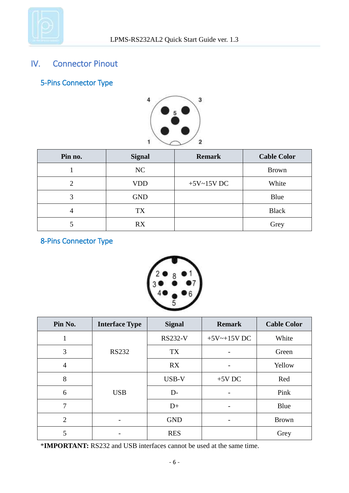

# <span id="page-7-0"></span>IV. Connector Pinout

<span id="page-7-1"></span>5-Pins Connector Type



| Pin no. | <b>Signal</b> | <b>Remark</b> | <b>Cable Color</b> |
|---------|---------------|---------------|--------------------|
|         | NC            |               | <b>Brown</b>       |
| 2       | <b>VDD</b>    | $+5V-15V$ DC  | White              |
| 3       | <b>GND</b>    |               | Blue               |
|         | TX            |               | <b>Black</b>       |
|         | RX            |               | Grey               |

# <span id="page-7-2"></span>8-Pins Connector Type



| Pin No.        | <b>Interface Type</b> | <b>Signal</b>  | <b>Remark</b>     | <b>Cable Color</b> |
|----------------|-----------------------|----------------|-------------------|--------------------|
| 1              |                       | <b>RS232-V</b> | $+5V$ ~ $+15V$ DC | White              |
| 3              | <b>RS232</b>          | <b>TX</b>      |                   | Green              |
| $\overline{4}$ |                       | <b>RX</b>      |                   | Yellow             |
| 8              |                       | USB-V          | $+5V$ DC          | Red                |
| 6              | <b>USB</b>            | $D-$           |                   | Pink               |
| $\tau$         |                       | $D+$           | -                 | Blue               |
| 2              | -                     | <b>GND</b>     | -                 | <b>Brown</b>       |
| 5              |                       | <b>RES</b>     |                   | Grey               |

\***IMPORTANT:** RS232 and USB interfaces cannot be used at the same time.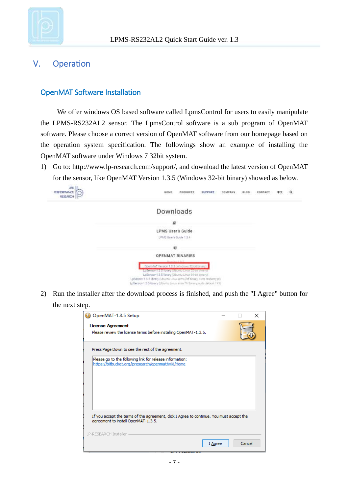

## <span id="page-8-0"></span>V. Operation

#### <span id="page-8-1"></span>OpenMAT Software Installation

We offer windows OS based software called LpmsControl for users to easily manipulate the LPMS-RS232AL2 sensor. The LpmsControl software is a sub program of OpenMAT software. Please choose a correct version of OpenMAT software from our homepage based on the operation system specification. The followings show an example of installing the OpenMAT software under Windows 7 32bit system.

1) Go to: [http://www.lp-research.com/support/,](http://www.alubi.cn/) and download the latest version of OpenMAT for the sensor, like OpenMAT Version 1.3.5 (Windows 32-bit binary) showed as below.



2) Run the installer after the download process is finished, and push the "I Agree" button for the next step.

| OpenMAT-1.3.5 Setup                                                                                                             |         |        | × |
|---------------------------------------------------------------------------------------------------------------------------------|---------|--------|---|
| <b>License Agreement</b>                                                                                                        |         |        |   |
| Please review the license terms before installing OpenMAT-1.3.5.                                                                |         |        |   |
|                                                                                                                                 |         |        |   |
| Press Page Down to see the rest of the agreement.                                                                               |         |        |   |
| Please go to the following link for release information:                                                                        |         |        |   |
| https://bitbucket.org/lpresearch/openmat/wiki/Home                                                                              |         |        |   |
|                                                                                                                                 |         |        |   |
|                                                                                                                                 |         |        |   |
|                                                                                                                                 |         |        |   |
|                                                                                                                                 |         |        |   |
|                                                                                                                                 |         |        |   |
|                                                                                                                                 |         |        |   |
|                                                                                                                                 |         |        |   |
| If you accept the terms of the agreement, click I Agree to continue. You must accept the<br>agreement to install OpenMAT-1.3.5. |         |        |   |
|                                                                                                                                 |         |        |   |
| LP-RESEARCH Installer                                                                                                           |         |        |   |
|                                                                                                                                 | I Agree | Cancel |   |
|                                                                                                                                 |         |        |   |
|                                                                                                                                 |         |        |   |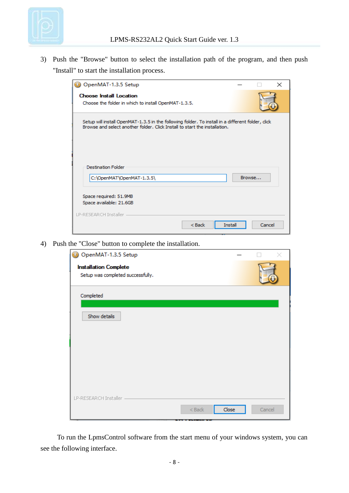

3) Push the "Browse" button to select the installation path of the program, and then push "Install" to start the installation process.

| OpenMAT-1.3.5 Setup                                                                                                                                                             |        |        | $\times$ |
|---------------------------------------------------------------------------------------------------------------------------------------------------------------------------------|--------|--------|----------|
| <b>Choose Install Location</b><br>Choose the folder in which to install OpenMAT-1.3.5.                                                                                          |        |        |          |
| Setup will install OpenMAT-1.3.5 in the following folder. To install in a different folder, click<br>Browse and select another folder. Click Install to start the installation. |        |        |          |
| <b>Destination Folder</b><br>C:\OpenMAT\OpenMAT-1.3.5\                                                                                                                          | Browse |        |          |
| Space required: 51.9MB<br>Space available: 21.6GB                                                                                                                               |        |        |          |
| LP-RESEARCH Installer<br>$<$ Back<br>Install                                                                                                                                    |        | Cancel |          |

4) Push the "Close" button to complete the installation.

| O OpenMAT-1.3.5 Setup                                             |        |       |        |
|-------------------------------------------------------------------|--------|-------|--------|
| <b>Installation Complete</b><br>Setup was completed successfully. |        |       |        |
|                                                                   |        |       |        |
| Completed                                                         |        |       |        |
| Show details                                                      |        |       |        |
|                                                                   |        |       |        |
|                                                                   |        |       |        |
|                                                                   |        |       |        |
|                                                                   |        |       |        |
| LP-RESEARCH Installer                                             |        |       |        |
|                                                                   | $Back$ | Close | Cancel |

To run the LpmsControl software from the start menu of your windows system, you can see the following interface.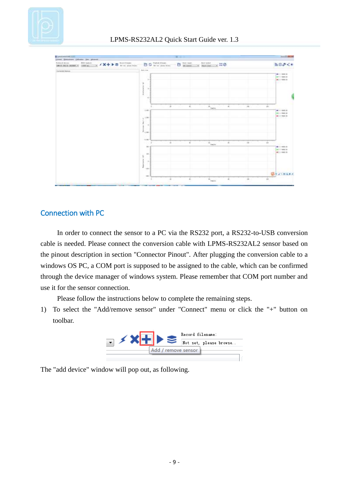



#### <span id="page-10-0"></span>Connection with PC

In order to connect the sensor to a PC via the RS232 port, a RS232-to-USB conversion cable is needed. Please connect the conversion cable with LPMS-RS232AL2 sensor based on the pinout description in section "Connector Pinout". After plugging the conversion cable to a windows OS PC, a COM port is supposed to be assigned to the cable, which can be confirmed through the device manager of windows system. Please remember that COM port number and use it for the sensor connection.

Please follow the instructions below to complete the remaining steps.

1) To select the "Add/remove sensor" under "Connect" menu or click the "+" button on toolbar.



The "add device" window will pop out, as following.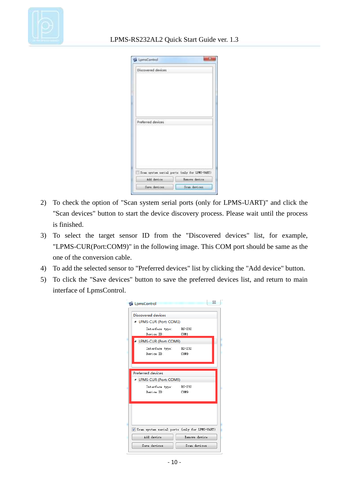

| Discovered devices |                                               |
|--------------------|-----------------------------------------------|
|                    |                                               |
|                    |                                               |
|                    |                                               |
|                    |                                               |
|                    |                                               |
|                    |                                               |
| Preferred devices  |                                               |
|                    |                                               |
|                    |                                               |
|                    |                                               |
|                    |                                               |
|                    |                                               |
|                    | Scan system serial ports (only for LPMS-UART) |
|                    |                                               |
| Add device         | heavye device.                                |

- 2) To check the option of "Scan system serial ports (only for LPMS-UART)" and click the "Scan devices" button to start the device discovery process. Please wait until the process is finished.
- 3) To select the target sensor ID from the "Discovered devices" list, for example, "LPMS-CUR(Port:COM9)" in the following image. This COM port should be same as the one of the conversion cable.
- 4) To add the selected sensor to "Preferred devices" list by clicking the "Add device" button.
- 5) To click the "Save devices" button to save the preferred devices list, and return to main interface of LpmsControl.

| LpmsControl                                              |                                                 |                                                                | $\Sigma$ |
|----------------------------------------------------------|-------------------------------------------------|----------------------------------------------------------------|----------|
| Discovered devices<br>4 LPMS-CUR (Port: COM1)            |                                                 |                                                                |          |
| Device ID:                                               | Interface type: RS-232                          | COM1                                                           |          |
| Device ID:                                               | LPMS-CUR (Port: COM9)<br>Interface type: RS-232 | COM9                                                           |          |
| Preferred devices<br>LPMS-CUR (Port: COM9)<br>Device ID: | Interface type: RS-232                          | COM9                                                           |          |
| Add device                                               |                                                 | Scan system serial ports (only for LPMS-UART)<br>Remove device |          |
| Save devices                                             |                                                 | Scan devices                                                   |          |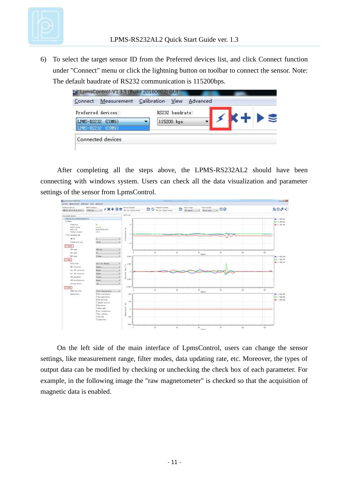

6) To select the target sensor ID from the Preferred devices list, and click Connect function under "Connect" menu or click the lightning button on toolbar to connect the sensor. Note: The default baudrate of RS232 communication is 115200bps.

| Preferred devices: |                          | RS232 baudrate: |  |      |
|--------------------|--------------------------|-----------------|--|------|
| LPMS-RS232 (COM9)  | $\overline{\phantom{a}}$ | 115200 bps      |  | **** |
| LPMS-RS232 (COM9)  |                          |                 |  |      |

After completing all the steps above, the LPMS-RS232AL2 should have been connecting with windows system. Users can check all the data visualization and parameter settings of the sensor from LpmsControl.



On the left side of the main interface of LpmsControl, users can change the sensor settings, like measurement range, filter modes, data updating rate, etc. Moreover, the types of output data can be modified by checking or unchecking the check box of each parameter. For example, in the following image the "raw magnetometer" is checked so that the acquisition of magnetic data is enabled.